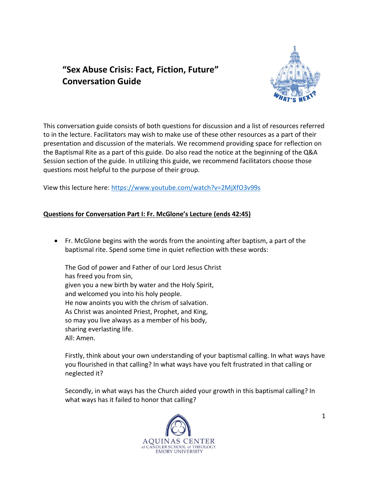# **"Sex Abuse Crisis: Fact, Fiction, Future" Conversation Guide**



This conversation guide consists of both questions for discussion and a list of resources referred to in the lecture. Facilitators may wish to make use of these other resources as a part of their presentation and discussion of the materials. We recommend providing space for reflection on the Baptismal Rite as a part of this guide. Do also read the notice at the beginning of the Q&A Session section of the guide. In utilizing this guide, we recommend facilitators choose those questions most helpful to the purpose of their group.

View this lecture here: <https://www.youtube.com/watch?v=2MjXfO3v99s>

## **Questions for Conversation Part I: Fr. McGlone's Lecture (ends 42:45)**

• Fr. McGlone begins with the words from the anointing after baptism, a part of the baptismal rite. Spend some time in quiet reflection with these words:

The God of power and Father of our Lord Jesus Christ has freed you from sin, given you a new birth by water and the Holy Spirit, and welcomed you into his holy people. He now anoints you with the chrism of salvation. As Christ was anointed Priest, Prophet, and King, so may you live always as a member of his body, sharing everlasting life. All: Amen.

Firstly, think about your own understanding of your baptismal calling. In what ways have you flourished in that calling? In what ways have you felt frustrated in that calling or neglected it?

Secondly, in what ways has the Church aided your growth in this baptismal calling? In what ways has it failed to honor that calling?

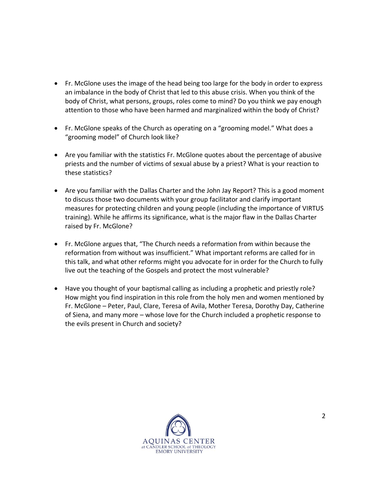- Fr. McGlone uses the image of the head being too large for the body in order to express an imbalance in the body of Christ that led to this abuse crisis. When you think of the body of Christ, what persons, groups, roles come to mind? Do you think we pay enough attention to those who have been harmed and marginalized within the body of Christ?
- Fr. McGlone speaks of the Church as operating on a "grooming model." What does a "grooming model" of Church look like?
- Are you familiar with the statistics Fr. McGlone quotes about the percentage of abusive priests and the number of victims of sexual abuse by a priest? What is your reaction to these statistics?
- Are you familiar with the Dallas Charter and the John Jay Report? This is a good moment to discuss those two documents with your group facilitator and clarify important measures for protecting children and young people (including the importance of VIRTUS training). While he affirms its significance, what is the major flaw in the Dallas Charter raised by Fr. McGlone?
- Fr. McGlone argues that, "The Church needs a reformation from within because the reformation from without was insufficient." What important reforms are called for in this talk, and what other reforms might you advocate for in order for the Church to fully live out the teaching of the Gospels and protect the most vulnerable?
- Have you thought of your baptismal calling as including a prophetic and priestly role? How might you find inspiration in this role from the holy men and women mentioned by Fr. McGlone – Peter, Paul, Clare, Teresa of Avila, Mother Teresa, Dorothy Day, Catherine of Siena, and many more – whose love for the Church included a prophetic response to the evils present in Church and society?

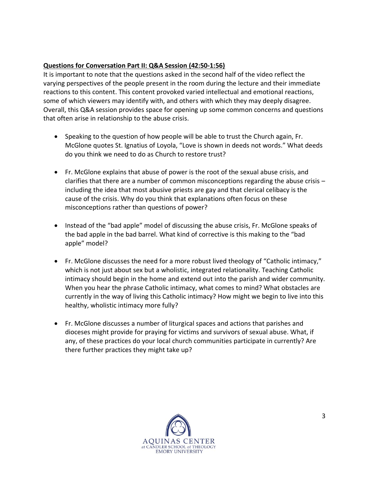# **Questions for Conversation Part II: Q&A Session (42:50-1:56)**

It is important to note that the questions asked in the second half of the video reflect the varying perspectives of the people present in the room during the lecture and their immediate reactions to this content. This content provoked varied intellectual and emotional reactions, some of which viewers may identify with, and others with which they may deeply disagree. Overall, this Q&A session provides space for opening up some common concerns and questions that often arise in relationship to the abuse crisis.

- Speaking to the question of how people will be able to trust the Church again, Fr. McGlone quotes St. Ignatius of Loyola, "Love is shown in deeds not words." What deeds do you think we need to do as Church to restore trust?
- Fr. McGlone explains that abuse of power is the root of the sexual abuse crisis, and clarifies that there are a number of common misconceptions regarding the abuse crisis – including the idea that most abusive priests are gay and that clerical celibacy is the cause of the crisis. Why do you think that explanations often focus on these misconceptions rather than questions of power?
- Instead of the "bad apple" model of discussing the abuse crisis, Fr. McGlone speaks of the bad apple in the bad barrel. What kind of corrective is this making to the "bad apple" model?
- Fr. McGlone discusses the need for a more robust lived theology of "Catholic intimacy," which is not just about sex but a wholistic, integrated relationality. Teaching Catholic intimacy should begin in the home and extend out into the parish and wider community. When you hear the phrase Catholic intimacy, what comes to mind? What obstacles are currently in the way of living this Catholic intimacy? How might we begin to live into this healthy, wholistic intimacy more fully?
- Fr. McGlone discusses a number of liturgical spaces and actions that parishes and dioceses might provide for praying for victims and survivors of sexual abuse. What, if any, of these practices do your local church communities participate in currently? Are there further practices they might take up?

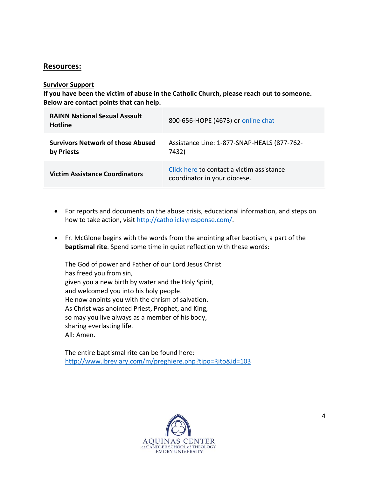## **Resources:**

#### **Survivor Support**

**If you have been the victim of abuse in the Catholic Church, please reach out to someone. Below are contact points that can help.**

| <b>RAINN National Sexual Assault</b><br><b>Hotline</b> | 800-656-HOPE (4673) or online chat                                        |
|--------------------------------------------------------|---------------------------------------------------------------------------|
| <b>Survivors Network of those Abused</b><br>by Priests | Assistance Line: 1-877-SNAP-HEALS (877-762-<br>7432)                      |
| <b>Victim Assistance Coordinators</b>                  | Click here to contact a victim assistance<br>coordinator in your diocese. |

- For reports and documents on the abuse crisis, educational information, and steps on how to take action, visit [http://catholiclayresponse.com/.](http://catholiclayresponse.com/)
- Fr. McGlone begins with the words from the anointing after baptism, a part of the **baptismal rite**. Spend some time in quiet reflection with these words:

The God of power and Father of our Lord Jesus Christ has freed you from sin, given you a new birth by water and the Holy Spirit, and welcomed you into his holy people. He now anoints you with the chrism of salvation. As Christ was anointed Priest, Prophet, and King, so may you live always as a member of his body, sharing everlasting life. All: Amen.

The entire baptismal rite can be found here: <http://www.ibreviary.com/m/preghiere.php?tipo=Rito&id=103>